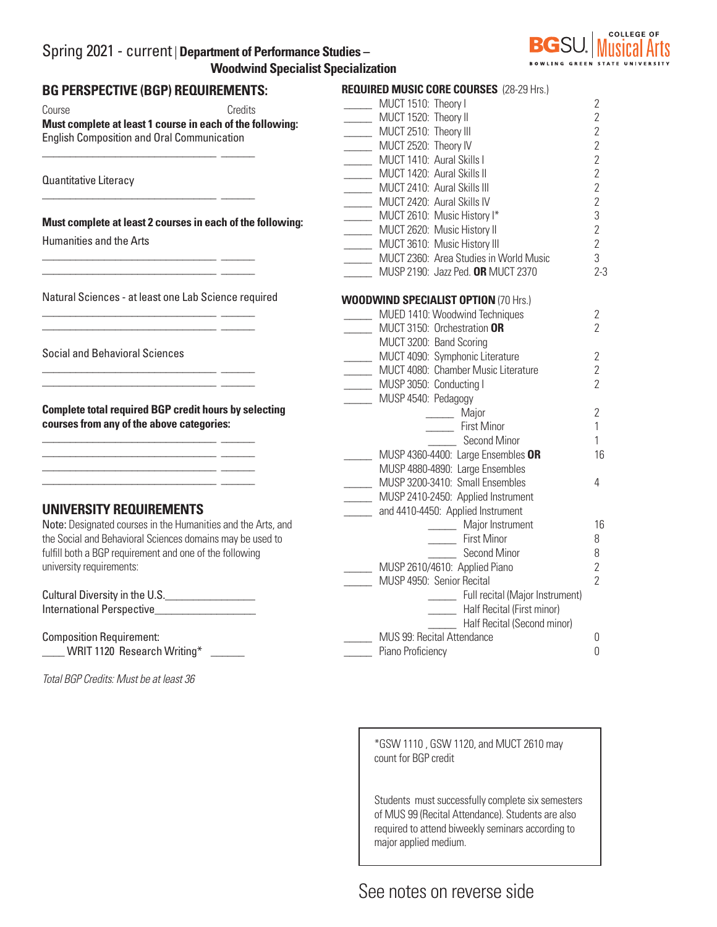## Spring 2021 - current | **Department of Performance Studies – Woodwind Specialist Specialization**



| BG PERSPECTIVE (BGP) REQUIREMENTS:                                                                                                                                 | <b>REQUIRED MUSIC CORE COURSES (28-29 Hrs.)</b> |                  |
|--------------------------------------------------------------------------------------------------------------------------------------------------------------------|-------------------------------------------------|------------------|
| Course<br>Credits                                                                                                                                                  | MUCT 1510: Theory I                             | $\overline{2}$   |
| Must complete at least 1 course in each of the following:                                                                                                          | MUCT 1520: Theory II                            | $\mathbf{2}$     |
| <b>English Composition and Oral Communication</b>                                                                                                                  | MUCT 2510: Theory III                           | $\mathbf{2}$     |
|                                                                                                                                                                    | MUCT 2520: Theory IV                            | $\overline{2}$   |
|                                                                                                                                                                    | MUCT 1410: Aural Skills I                       | $\sqrt{2}$       |
| Quantitative Literacy                                                                                                                                              | MUCT 1420: Aural Skills II                      | $\mathbf{2}$     |
|                                                                                                                                                                    | MUCT 2410: Aural Skills III                     | $\overline{2}$   |
|                                                                                                                                                                    | MUCT 2420: Aural Skills IV                      | $\overline{2}$   |
| Must complete at least 2 courses in each of the following:                                                                                                         | MUCT 2610: Music History I*                     | 3                |
|                                                                                                                                                                    | MUCT 2620: Music History II                     | $\mathbf{2}$     |
| <b>Humanities and the Arts</b>                                                                                                                                     | MUCT 3610: Music History III                    | $\mathbf{2}$     |
|                                                                                                                                                                    | MUCT 2360: Area Studies in World Music          | 3                |
|                                                                                                                                                                    | MUSP 2190: Jazz Ped. OR MUCT 2370               | $2 - 3$          |
| Natural Sciences - at least one Lab Science required                                                                                                               | <b>WOODWIND SPECIALIST OPTION (70 Hrs.)</b>     |                  |
|                                                                                                                                                                    | MUED 1410: Woodwind Techniques                  | $\mathbf{2}$     |
|                                                                                                                                                                    | MUCT 3150: Orchestration OR                     | $\overline{2}$   |
|                                                                                                                                                                    | MUCT 3200: Band Scoring                         |                  |
| <b>Social and Behavioral Sciences</b>                                                                                                                              | MUCT 4090: Symphonic Literature                 | $\mathbf{2}$     |
|                                                                                                                                                                    | MUCT 4080: Chamber Music Literature             | $\overline{2}$   |
|                                                                                                                                                                    | MUSP 3050: Conducting I                         | $\overline{2}$   |
|                                                                                                                                                                    | MUSP 4540: Pedagogy                             |                  |
| <b>Complete total required BGP credit hours by selecting</b>                                                                                                       | Major                                           | $\mathbf{2}$     |
| courses from any of the above categories:<br><u> 1988 - Jan Barbarat, martxa amerikan basar dan basa dalam basa dalam basa dalam basa dalam basa dalam basa da</u> | First Minor                                     | $\mathbf{1}$     |
|                                                                                                                                                                    | Second Minor                                    | 1                |
|                                                                                                                                                                    | MUSP 4360-4400: Large Ensembles OR              | 16               |
|                                                                                                                                                                    | MUSP 4880-4890: Large Ensembles                 |                  |
|                                                                                                                                                                    | MUSP 3200-3410: Small Ensembles                 | 4                |
|                                                                                                                                                                    | MUSP 2410-2450: Applied Instrument              |                  |
| UNIVERSITY REQUIREMENTS                                                                                                                                            | and 4410-4450: Applied Instrument               |                  |
| Note: Designated courses in the Humanities and the Arts, and                                                                                                       | Major Instrument                                | 16               |
| the Social and Behavioral Sciences domains may be used to                                                                                                          | First Minor                                     | 8                |
| fulfill both a BGP requirement and one of the following                                                                                                            | Second Minor                                    | 8                |
| university requirements:                                                                                                                                           | MUSP 2610/4610: Applied Piano                   | $\overline{2}$   |
|                                                                                                                                                                    | MUSP 4950: Senior Recital                       | $\overline{2}$   |
| Cultural Diversity in the U.S.                                                                                                                                     | Full recital (Major Instrument)                 |                  |
| International Perspective                                                                                                                                          | Half Recital (First minor)                      |                  |
|                                                                                                                                                                    | Half Recital (Second minor)                     |                  |
| <b>Composition Requirement:</b>                                                                                                                                    | MUS 99: Recital Attendance                      | $\mathbf 0$      |
| WRIT 1120 Research Writing*                                                                                                                                        | Piano Proficiency                               | $\boldsymbol{0}$ |
|                                                                                                                                                                    |                                                 |                  |

*Total BGP Credits: Must be at least 36*

\*GSW 1110 , GSW 1120, and MUCT 2610 may count for BGP credit

Students must successfully complete six semesters of MUS 99 (Recital Attendance). Students are also required to attend biweekly seminars according to major applied medium.

# See notes on reverse side